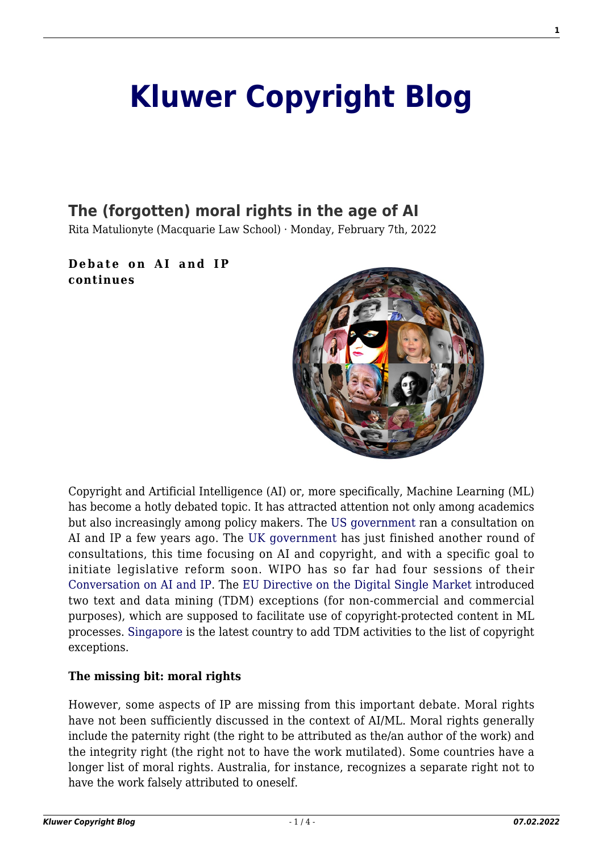# **[Kluwer Copyright Blog](http://copyrightblog.kluweriplaw.com/)**

## **[The \(forgotten\) moral rights in the age of AI](http://copyrightblog.kluweriplaw.com/2022/02/07/the-forgotten-moral-rights-in-the-age-of-ai/)**

Rita Matulionyte (Macquarie Law School) · Monday, February 7th, 2022

#### **Debate on AI and IP continues**



Copyright and Artificial Intelligence (AI) or, more specifically, Machine Learning (ML) has become a hotly debated topic. It has attracted attention not only among academics but also increasingly among policy makers. The [US government](https://www.uspto.gov/about-us/news-updates/uspto-releases-report-artificial-intelligence-and-intellectual-property) ran a consultation on AI and IP a few years ago. The [UK government](https://www.gov.uk/government/news/artificial-intelligenceand-ip-consultation-on-copyright-and-patents-legislation) has just finished another round of consultations, this time focusing on AI and copyright, and with a specific goal to initiate legislative reform soon. WIPO has so far had four sessions of their [Conversation on AI and IP.](https://www.wipo.int/about-ip/en/frontier_technologies/frontier_conversation.html) The [EU Directive on the Digital Single Market](https://eur-lex.europa.eu/eli/dir/2019/790/oj) introduced two text and data mining (TDM) exceptions (for non-commercial and commercial purposes), which are supposed to facilitate use of copyright-protected content in ML processes. [Singapore](https://eare.eu/singapores-new-text-and-data-mining-exception-will-support-innovation-in-the-digital-economy/) is the latest country to add TDM activities to the list of copyright exceptions.

#### **The missing bit: moral rights**

However, some aspects of IP are missing from this important debate. Moral rights have not been sufficiently discussed in the context of AI/ML. Moral rights generally include the paternity right (the right to be attributed as the/an author of the work) and the integrity right (the right not to have the work mutilated). Some countries have a longer list of moral rights. Australia, for instance, recognizes a separate right not to have the work falsely attributed to oneself.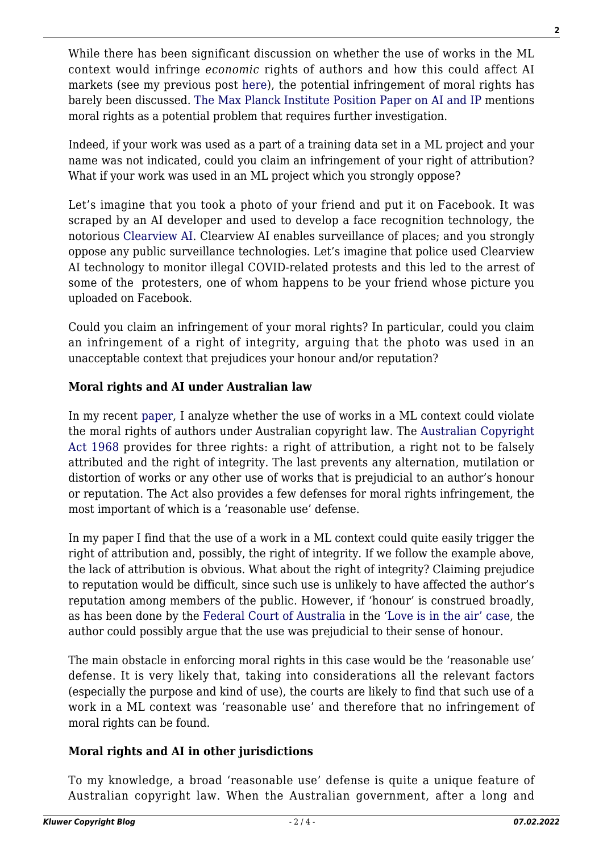While there has been significant discussion on whether the use of works in the ML context would infringe *economic* rights of authors and how this could affect AI markets (see my previous post [here\)](http://copyrightblog.kluweriplaw.com/2020/06/01/australian-copyright-law-is-inhibiting-the-development-of-ai-what-options-does-the-australian-government-have/), the potential infringement of moral rights has barely been discussed. [The Max Planck Institute Position Paper on AI and IP](https://www.ip.mpg.de/fileadmin/ipmpg/content/stellungnahmen/MPI_PositionPaper__SSRN_21-10.pdf) mentions moral rights as a potential problem that requires further investigation.

Indeed, if your work was used as a part of a training data set in a ML project and your name was not indicated, could you claim an infringement of your right of attribution? What if your work was used in an ML project which you strongly oppose?

Let's imagine that you took a photo of your friend and put it on Facebook. It was scraped by an AI developer and used to develop a face recognition technology, the notorious [Clearview AI.](https://www.euronews.com/2021/12/16/facial-recognition-clearview-ai-breaks-eu-data-privacy-rules-says-french-watchdog) Clearview AI enables surveillance of places; and you strongly oppose any public surveillance technologies. Let's imagine that police used Clearview AI technology to monitor illegal COVID-related protests and this led to the arrest of some of the protesters, one of whom happens to be your friend whose picture you uploaded on Facebook.

Could you claim an infringement of your moral rights? In particular, could you claim an infringement of a right of integrity, arguing that the photo was used in an unacceptable context that prejudices your honour and/or reputation?

#### **Moral rights and AI under Australian law**

In my recent [paper,](http://ssrn.com/abstract=4016001.) I analyze whether the use of works in a ML context could violate the moral rights of authors under Australian copyright law. The [Australian Copyright](http://www5.austlii.edu.au/au/legis/cth/consol_act/ca1968133/) [Act 1968](http://www5.austlii.edu.au/au/legis/cth/consol_act/ca1968133/) provides for three rights: a right of attribution, a right not to be falsely attributed and the right of integrity. The last prevents any alternation, mutilation or distortion of works or any other use of works that is prejudicial to an author's honour or reputation. The Act also provides a few defenses for moral rights infringement, the most important of which is a 'reasonable use' defense.

In my paper I find that the use of a work in a ML context could quite easily trigger the right of attribution and, possibly, the right of integrity. If we follow the example above, the lack of attribution is obvious. What about the right of integrity? Claiming prejudice to reputation would be difficult, since such use is unlikely to have affected the author's reputation among members of the public. However, if 'honour' is construed broadly, as has been done by the [Federal Court of Australia](https://jade.io/j/?a=outline&id=726856) in the '[Love is in the air' case,](http://copyrightblog.kluweriplaw.com/2020/08/06/love-is-in-the-air-case-a-missed-opportunity-to-enforce-moral-rights-in-australia/) the author could possibly argue that the use was prejudicial to their sense of honour.

The main obstacle in enforcing moral rights in this case would be the 'reasonable use' defense. It is very likely that, taking into considerations all the relevant factors (especially the purpose and kind of use), the courts are likely to find that such use of a work in a ML context was 'reasonable use' and therefore that no infringement of moral rights can be found.

#### **Moral rights and AI in other jurisdictions**

To my knowledge, a broad 'reasonable use' defense is quite a unique feature of Australian copyright law. When the Australian government, after a long and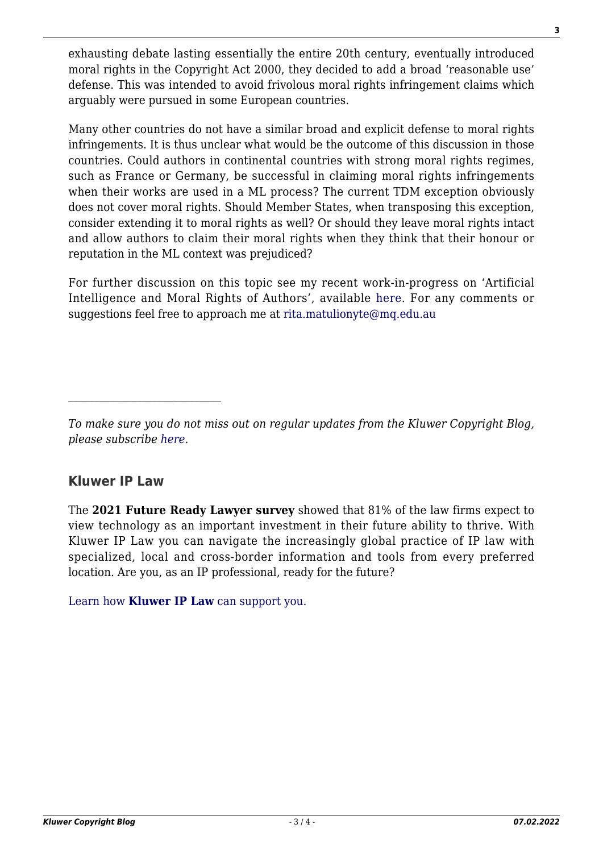exhausting debate lasting essentially the entire 20th century, eventually introduced moral rights in the Copyright Act 2000, they decided to add a broad 'reasonable use' defense. This was intended to avoid frivolous moral rights infringement claims which arguably were pursued in some European countries.

Many other countries do not have a similar broad and explicit defense to moral rights infringements. It is thus unclear what would be the outcome of this discussion in those countries. Could authors in continental countries with strong moral rights regimes, such as France or Germany, be successful in claiming moral rights infringements when their works are used in a ML process? The current TDM exception obviously does not cover moral rights. Should Member States, when transposing this exception, consider extending it to moral rights as well? Or should they leave moral rights intact and allow authors to claim their moral rights when they think that their honour or reputation in the ML context was prejudiced?

For further discussion on this topic see my recent work-in-progress on 'Artificial Intelligence and Moral Rights of Authors', available [here.](http://ssrn.com/abstract=4016001.) For any comments or suggestions feel free to approach me at [rita.matulionyte@mq.edu.au](mailto:rita.matulionyte@mq.edu.au)

### **Kluwer IP Law**

The **2021 Future Ready Lawyer survey** showed that 81% of the law firms expect to view technology as an important investment in their future ability to thrive. With Kluwer IP Law you can navigate the increasingly global practice of IP law with specialized, local and cross-border information and tools from every preferred location. Are you, as an IP professional, ready for the future?

[Learn how](https://www.wolterskluwer.com/en/solutions/kluweriplaw?utm_source=copyrightnblog&utm_medium=articleCTA&utm_campaign=article-banner) **[Kluwer IP Law](https://www.wolterskluwer.com/en/solutions/kluweriplaw?utm_source=copyrightnblog&utm_medium=articleCTA&utm_campaign=article-banner)** [can support you.](https://www.wolterskluwer.com/en/solutions/kluweriplaw?utm_source=copyrightnblog&utm_medium=articleCTA&utm_campaign=article-banner)

*To make sure you do not miss out on regular updates from the Kluwer Copyright Blog, please subscribe [here.](http://copyrightblog.kluweriplaw.com/newsletter)*